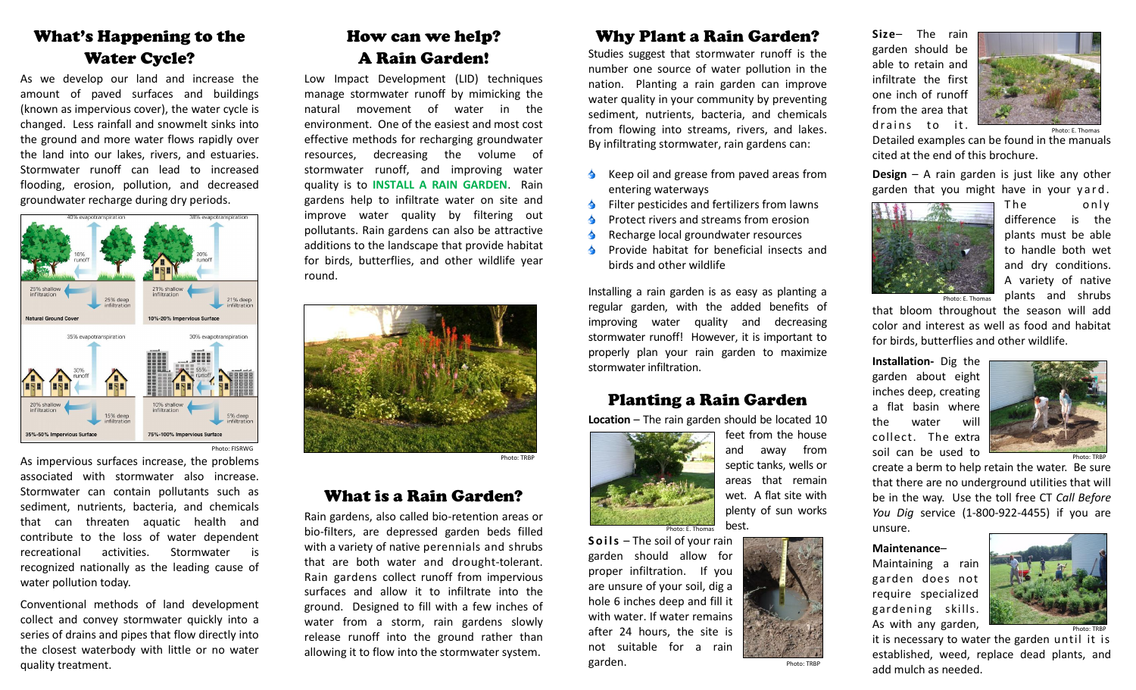## What's Happening to the Water Cycle?

As we develop our land and increase the amount of paved surfaces and buildings (known as impervious cover), the water cycle is changed. Less rainfall and snowmelt sinks into the ground and more water flows rapidly over the land into our lakes, rivers, and estuaries. Stormwater runoff can lead to increased flooding, erosion, pollution, and decreased groundwater recharge during dry periods.



As impervious surfaces increase, the problems associated with stormwater also increase. Stormwater can contain pollutants such as sediment, nutrients, bacteria, and chemicals that can threaten aquatic health and contribute to the loss of water dependent recreational activities. Stormwater is recognized nationally as the leading cause of water pollution today.

Conventional methods of land development collect and convey stormwater quickly into a series of drains and pipes that flow directly into the closest waterbody with little or no water quality treatment.

## How can we help? A Rain Garden!

Low Impact Development (LID) techniques manage stormwater runoff by mimicking the natural movement of water in the environment. One of the easiest and most cost effective methods for recharging groundwater resources, decreasing the volume of stormwater runoff, and improving water quality is to **INSTALL A RAIN GARDEN**. Rain gardens help to infiltrate water on site and improve water quality by filtering out pollutants. Rain gardens can also be attractive additions to the landscape that provide habitat for birds, butterflies, and other wildlife year round.



Photo: TRBP

## What is a Rain Garden?

Rain gardens, also called bio-retention areas or bio-filters, are depressed garden beds filled with a variety of native perennials and shrubs that are both water and drought-tolerant. Rain gardens collect runoff from impervious surfaces and allow it to infiltrate into the ground. Designed to fill with a few inches of water from a storm, rain gardens slowly release runoff into the ground rather than allowing it to flow into the stormwater system.

## Why Plant a Rain Garden?

Studies suggest that stormwater runoff is the number one source of water pollution in the nation. Planting a rain garden can improve water quality in your community by preventing sediment, nutrients, bacteria, and chemicals from flowing into streams, rivers, and lakes. By infiltrating stormwater, rain gardens can:

- $\triangle$  Keep oil and grease from paved areas from entering waterways
- Filter pesticides and fertilizers from lawns
- Protect rivers and streams from erosion
- Recharge local groundwater resources
- Provide habitat for beneficial insects and birds and other wildlife

Installing a rain garden is as easy as planting a regular garden, with the added benefits of improving water quality and decreasing stormwater runoff! However, it is important to properly plan your rain garden to maximize stormwater infiltration.

## Planting a Rain Garden

**Location** – The rain garden should be located 10



feet from the house and away from septic tanks, wells or areas that remain wet. A flat site with plenty of sun works best.



**Size**– The rain garden should be able to retain and infiltrate the first one inch of runoff from the area that drains to it.



Detailed examples can be found in the manuals cited at the end of this brochure.

**Design** – A rain garden is just like any other garden that you might have in your yard.



The only difference is the plants must be able to handle both wet and dry conditions. A variety of native plants and shrubs

that bloom throughout the season will add color and interest as well as food and habitat for birds, butterflies and other wildlife.

**Installation-** Dig the garden about eight inches deep, creating a flat basin where the water will collect. The extra soil can be used to



create a berm to help retain the water. Be sure that there are no underground utilities that will be in the way. Use the toll free CT *Call Before You Dig* service (1-800-922-4455) if you are unsure.

#### **Maintenance**–

Maintaining a rain garden does not require specialized gardening skills. As with any garden,



it is necessary to water the garden until it is established, weed, replace dead plants, and add mulch as needed.



garden should allow for proper infiltration. If you are unsure of your soil, dig a hole 6 inches deep and fill it with water. If water remains after 24 hours, the site is not suitable for a rain garden.